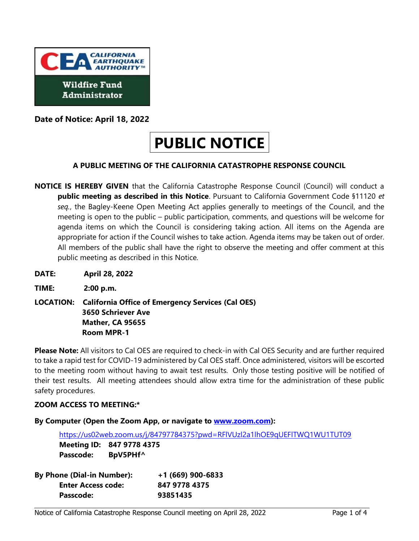

**Date of Notice: April 18, 2022** 

# **PUBLIC NOTICE**

# **A PUBLIC MEETING OF THE CALIFORNIA CATASTROPHE RESPONSE COUNCIL**

- **NOTICE IS HEREBY GIVEN** that the California Catastrophe Response Council (Council) will conduct a  **public meeting as described in this Notice**. Pursuant to California Government Code §11120 *et seq.*, the Bagley-Keene Open Meeting Act applies generally to meetings of the Council, and the meeting is open to the public – public participation, comments, and questions will be welcome for agenda items on which the Council is considering taking action. All items on the Agenda are appropriate for action if the Council wishes to take action. Agenda items may be taken out of order. All members of the public shall have the right to observe the meeting and offer comment at this public meeting as described in this Notice.
- **DATE: April 28, 2022**
- **TIME: 2:00 p.m.**
- **LOCATION: California Office of Emergency Services (Cal OES) 3650 Schriever Ave Mather, CA 95655 Room MPR-1**

 **Please Note:** All visitors to Cal OES are required to check-in with Cal OES Security and are further required to take a rapid test for COVID-19 administered by Cal OES staff. Once administered, visitors will be escorted to the meeting room without having to await test results. Only those testing positive will be notified of their test results. All meeting attendees should allow extra time for the administration of these public safety procedures.

# **ZOOM ACCESS TO MEETING:\***

 **By Computer (Open the Zoom App, or navigate to [www.zoom.com\)](http://www.zoom.com/):** 

 **Meeting ID: 847 9778 4375**  <https://us02web.zoom.us/j/84797784375?pwd=RFlVUzl2a1lhOE9qUEFlTWQ1WU1TUT09> **Passcode: BpV5PHf^** 

| <b>By Phone (Dial-in Number):</b> | $+1(669)$ 900-6833 |
|-----------------------------------|--------------------|
| <b>Enter Access code:</b>         | 847 9778 4375      |
| Passcode:                         | 93851435           |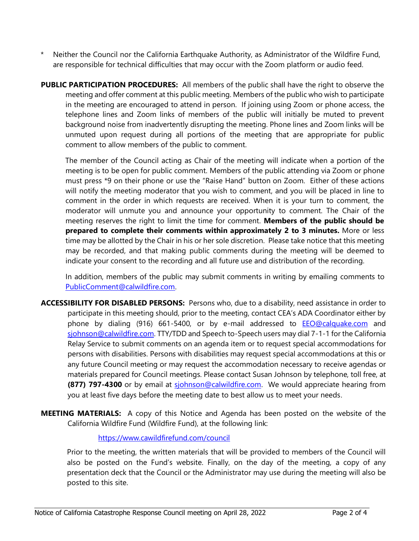- \* Neither the Council nor the California Earthquake Authority, as Administrator of the Wildfire Fund, are responsible for technical difficulties that may occur with the Zoom platform or audio feed.
- meeting and offer comment at this public meeting. Members of the public who wish to participate in the meeting are encouraged to attend in person. If joining using Zoom or phone access, the telephone lines and Zoom links of members of the public will initially be muted to prevent unmuted upon request during all portions of the meeting that are appropriate for public **PUBLIC PARTICIPATION PROCEDURES:** All members of the public shall have the right to observe the background noise from inadvertently disrupting the meeting. Phone lines and Zoom links will be comment to allow members of the public to comment.

 The member of the Council acting as Chair of the meeting will indicate when a portion of the meeting is to be open for public comment. Members of the public attending via Zoom or phone must press \*9 on their phone or use the "Raise Hand" button on Zoom. Either of these actions will notify the meeting moderator that you wish to comment, and you will be placed in line to comment in the order in which requests are received. When it is your turn to comment, the moderator will unmute you and announce your opportunity to comment. The Chair of the meeting reserves the right to limit the time for comment. **Members of the public should be prepared to complete their comments within approximately 2 to 3 minutes.** More or less time may be allotted by the Chair in his or her sole discretion. Please take notice that this meeting may be recorded, and that making public comments during the meeting will be deemed to indicate your consent to the recording and all future use and distribution of the recording.

 In addition, members of the public may submit comments in writing by emailing comments to [PublicComment@calwildfire.com.](mailto:PublicComment@calwildfire.com)

- **ACCESSIBILITY FOR DISABLED PERSONS:** Persons who, due to a disability, need assistance in order to participate in this meeting should, prior to the meeting, contact CEA's ADA Coordinator either by phone by dialing (916) 661-5400, or by e-mail addressed to **EEO@calquake.com** and [sjohnson@calwildfire.com.](mailto:sjohnson@calwildfire.com) TTY/TDD and Speech to-Speech users may dial 7-1-1 for the California persons with disabilities. Persons with disabilities may request special accommodations at this or materials prepared for Council meetings. Please contact Susan Johnson by telephone, toll free, at **(877) 797-4300** or by email at siohnson@calwildfire.com. We would appreciate hearing from Relay Service to submit comments on an agenda item or to request special accommodations for any future Council meeting or may request the accommodation necessary to receive agendas or you at least five days before the meeting date to best allow us to meet your needs.
- **MEETING MATERIALS:** A copy of this Notice and Agenda has been posted on the website of the California Wildfire Fund (Wildfire Fund), at the following link:

<https://www.cawildfirefund.com/council>

 Prior to the meeting, the written materials that will be provided to members of the Council will also be posted on the Fund's website. Finally, on the day of the meeting, a copy of any presentation deck that the Council or the Administrator may use during the meeting will also be posted to this site.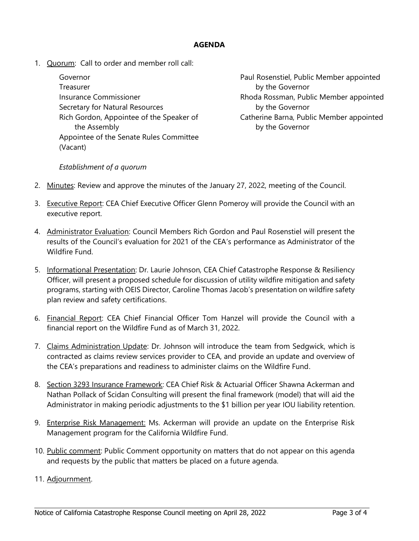#### **AGENDA**

1. Quorum: Call to order and member roll call:

Treasurer by the Governor Secretary for Natural Resources by the Governor the Assembly by the Governor Appointee of the Senate Rules Committee (Vacant)

Governor Paul Rosenstiel, Public Member appointed Insurance Commissioner **Rhoda Rossman, Public Member appointed** Rich Gordon, Appointee of the Speaker of Catherine Barna, Public Member appointed

#### *Establishment of a quorum*

- 2. Minutes: Review and approve the minutes of the January 27, 2022, meeting of the Council.
- 3. Executive Report: CEA Chief Executive Officer Glenn Pomeroy will provide the Council with an executive report.
- 4. Administrator Evaluation: Council Members Rich Gordon and Paul Rosenstiel will present the results of the Council's evaluation for 2021 of the CEA's performance as Administrator of the Wildfire Fund.
- Officer, will present a proposed schedule for discussion of utility wildfire mitigation and safety programs, starting with OEIS Director, Caroline Thomas Jacob's presentation on wildfire safety 5. Informational Presentation: Dr. Laurie Johnson, CEA Chief Catastrophe Response & Resiliency plan review and safety certifications.
- 6. Financial Report: CEA Chief Financial Officer Tom Hanzel will provide the Council with a financial report on the Wildfire Fund as of March 31, 2022.
- 7. Claims Administration Update: Dr. Johnson will introduce the team from Sedgwick, which is contracted as claims review services provider to CEA, and provide an update and overview of the CEA's preparations and readiness to administer claims on the Wildfire Fund.
- Administrator in making periodic adjustments to the \$1 billion per year IOU liability retention. 8. Section 3293 Insurance Framework: CEA Chief Risk & Actuarial Officer Shawna Ackerman and Nathan Pollack of Scidan Consulting will present the final framework (model) that will aid the
- 9. Enterprise Risk Management: Ms. Ackerman will provide an update on the Enterprise Risk Management program for the California Wildfire Fund.
- 10. Public comment: Public Comment opportunity on matters that do not appear on this agenda and requests by the public that matters be placed on a future agenda.

#### 11. Adjournment.